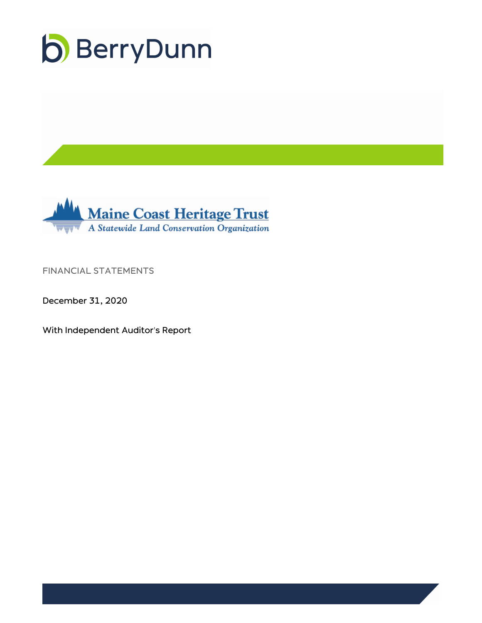



FINANCIAL STATEMENTS

December 31, 2020

With Independent Auditor's Report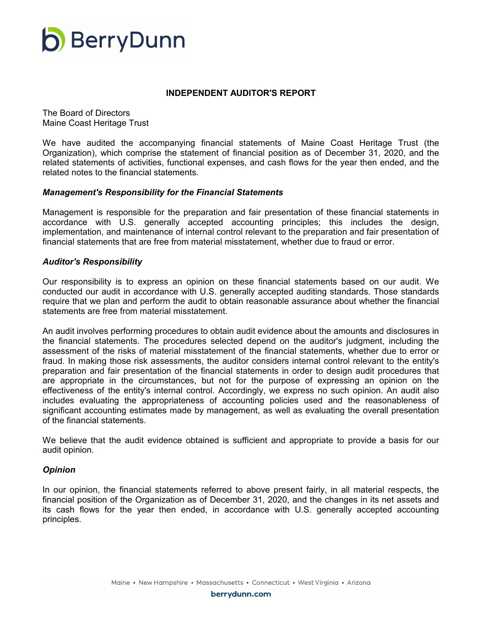

#### **INDEPENDENT AUDITOR'S REPORT**

The Board of Directors Maine Coast Heritage Trust

We have audited the accompanying financial statements of Maine Coast Heritage Trust (the Organization), which comprise the statement of financial position as of December 31, 2020, and the related statements of activities, functional expenses, and cash flows for the year then ended, and the related notes to the financial statements.

#### *Management's Responsibility for the Financial Statements*

Management is responsible for the preparation and fair presentation of these financial statements in accordance with U.S. generally accepted accounting principles; this includes the design, implementation, and maintenance of internal control relevant to the preparation and fair presentation of financial statements that are free from material misstatement, whether due to fraud or error.

#### *Auditor's Responsibility*

Our responsibility is to express an opinion on these financial statements based on our audit. We conducted our audit in accordance with U.S. generally accepted auditing standards. Those standards require that we plan and perform the audit to obtain reasonable assurance about whether the financial statements are free from material misstatement.

An audit involves performing procedures to obtain audit evidence about the amounts and disclosures in the financial statements. The procedures selected depend on the auditor's judgment, including the assessment of the risks of material misstatement of the financial statements, whether due to error or fraud. In making those risk assessments, the auditor considers internal control relevant to the entity's preparation and fair presentation of the financial statements in order to design audit procedures that are appropriate in the circumstances, but not for the purpose of expressing an opinion on the effectiveness of the entity's internal control. Accordingly, we express no such opinion. An audit also includes evaluating the appropriateness of accounting policies used and the reasonableness of significant accounting estimates made by management, as well as evaluating the overall presentation of the financial statements.

We believe that the audit evidence obtained is sufficient and appropriate to provide a basis for our audit opinion.

#### *Opinion*

In our opinion, the financial statements referred to above present fairly, in all material respects, the financial position of the Organization as of December 31, 2020, and the changes in its net assets and its cash flows for the year then ended, in accordance with U.S. generally accepted accounting principles.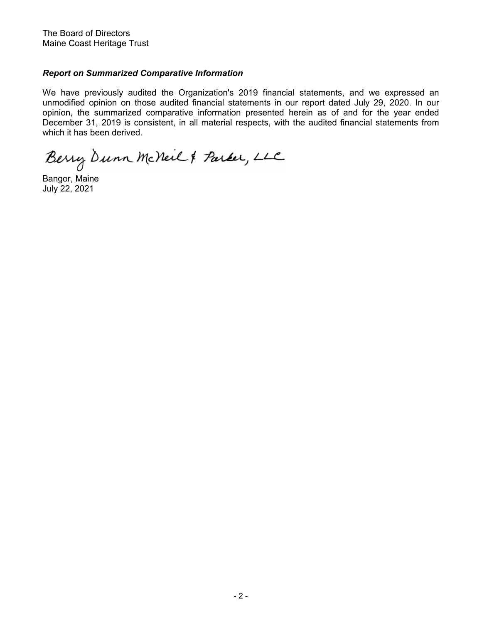The Board of Directors Maine Coast Heritage Trust

### *Report on Summarized Comparative Information*

We have previously audited the Organization's 2019 financial statements, and we expressed an unmodified opinion on those audited financial statements in our report dated July 29, 2020. In our opinion, the summarized comparative information presented herein as of and for the year ended December 31, 2019 is consistent, in all material respects, with the audited financial statements from which it has been derived.

Berry Dunn McNeil & Parker, LLC

Bangor, Maine July 22, 2021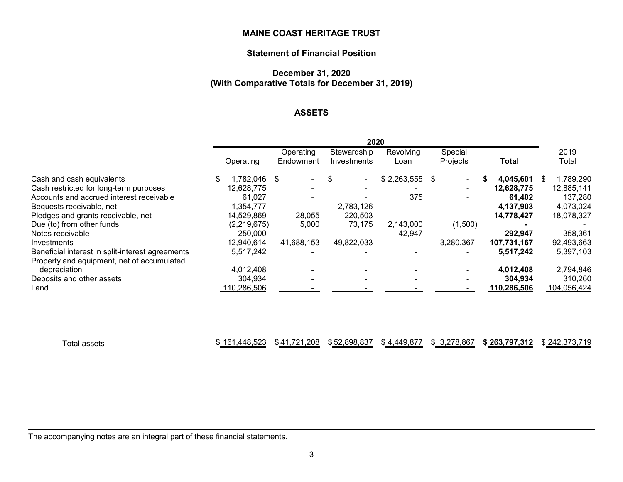# **Statement of Financial Position**

# **December 31, 2020 (With Comparative Totals for December 31, 2019)**

# **ASSETS**

|                                                  |  | 2020         |  |                          |   |             |                          |          |           |              |             |   |              |
|--------------------------------------------------|--|--------------|--|--------------------------|---|-------------|--------------------------|----------|-----------|--------------|-------------|---|--------------|
|                                                  |  |              |  | Operating                |   | Stewardship | Revolving                | Special  |           |              |             |   | 2019         |
|                                                  |  | Operating    |  | Endowment                |   | Investments | Loan                     | Projects |           | <b>Total</b> |             |   | <u>Total</u> |
| Cash and cash equivalents                        |  | 1,782,046 \$ |  |                          | S | $\sim$      | $$2,263,555$ \;          |          |           |              | 4,045,601   | S | 1,789,290    |
| Cash restricted for long-term purposes           |  | 12,628,775   |  |                          |   |             |                          |          |           |              | 12,628,775  |   | 12,885,141   |
| Accounts and accrued interest receivable         |  | 61.027       |  |                          |   |             | 375                      |          |           |              | 61.402      |   | 137,280      |
| Bequests receivable, net                         |  | 1,354,777    |  | $\overline{\phantom{0}}$ |   | 2,783,126   | $\overline{\phantom{0}}$ |          |           |              | 4,137,903   |   | 4,073,024    |
| Pledges and grants receivable, net               |  | 14,529,869   |  | 28,055                   |   | 220,503     |                          |          |           |              | 14,778,427  |   | 18,078,327   |
| Due (to) from other funds                        |  | (2,219,675)  |  | 5,000                    |   | 73,175      | 2,143,000                |          | (1,500)   |              |             |   |              |
| Notes receivable                                 |  | 250,000      |  |                          |   |             | 42,947                   |          |           |              | 292,947     |   | 358,361      |
| Investments                                      |  | 12,940,614   |  | 41,688,153               |   | 49,822,033  | $\overline{\phantom{0}}$ |          | 3,280,367 |              | 107,731,167 |   | 92,493,663   |
| Beneficial interest in split-interest agreements |  | 5,517,242    |  |                          |   |             |                          |          |           |              | 5,517,242   |   | 5,397,103    |
| Property and equipment, net of accumulated       |  |              |  |                          |   |             |                          |          |           |              |             |   |              |
| depreciation                                     |  | 4,012,408    |  |                          |   |             |                          |          |           |              | 4,012,408   |   | 2,794,846    |
| Deposits and other assets                        |  | 304,934      |  |                          |   |             |                          |          |           |              | 304,934     |   | 310,260      |
| Land                                             |  | 110,286,506  |  |                          |   |             |                          |          |           |              | 110,286,506 |   | 104,056,424  |

| otal assets | .448,523<br>161. | <b>704</b><br>208<br>\$41<br>1 Z | \$52,898,837 | \$4,449,877 | 3,278,867<br>m. | \$263.797.312 | \$242.373.719<br>742.JI J.I |
|-------------|------------------|----------------------------------|--------------|-------------|-----------------|---------------|-----------------------------|
|-------------|------------------|----------------------------------|--------------|-------------|-----------------|---------------|-----------------------------|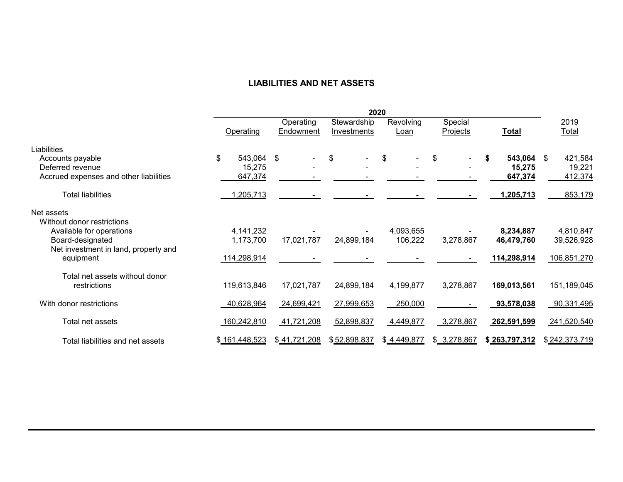# **LIABILITIES AND NET ASSETS**

|                                          |               |            |                                                      |              | 2020              |                     |               |                      |  |
|------------------------------------------|---------------|------------|------------------------------------------------------|--------------|-------------------|---------------------|---------------|----------------------|--|
|                                          | Operating     |            | Stewardship<br>Operating<br>Endowment<br>Investments |              | Revolving<br>Loan | Special<br>Projects | <b>Total</b>  | 2019<br><b>Total</b> |  |
| Liabilities                              |               |            |                                                      |              |                   |                     |               |                      |  |
| Accounts payable                         | \$            | 543,064 \$ |                                                      | \$           | \$<br>٠           | \$                  | 543,064<br>\$ | 421,584<br>\$        |  |
| Deferred revenue                         |               | 15,275     |                                                      |              |                   |                     | 15,275        | 19,221               |  |
| Accrued expenses and other liabilities   |               | 647,374    |                                                      |              |                   |                     | 647,374       | 412,374              |  |
| <b>Total liabilities</b>                 | 1,205,713     |            |                                                      |              |                   |                     | 1,205,713     | 853,179              |  |
| Net assets<br>Without donor restrictions |               |            |                                                      |              |                   |                     |               |                      |  |
| Available for operations                 | 4,141,232     |            |                                                      |              | 4,093,655         |                     | 8,234,887     | 4,810,847            |  |
| Board-designated                         | 1,173,700     |            | 17,021,787                                           | 24,899,184   | 106,222           | 3,278,867           | 46,479,760    | 39,526,928           |  |
| Net investment in land, property and     |               |            |                                                      |              |                   |                     |               |                      |  |
| equipment                                | 114,298,914   |            |                                                      |              |                   |                     | 114,298,914   | 106,851,270          |  |
| Total net assets without donor           |               |            |                                                      |              |                   |                     |               |                      |  |
| restrictions                             | 119,613,846   |            | 17,021,787                                           | 24,899,184   | 4,199,877         | 3,278,867           | 169,013,561   | 151,189,045          |  |
| With donor restrictions                  | 40,628,964    |            | 24,699,421                                           | 27,999,653   | 250,000           |                     | 93,578,038    | 90,331,495           |  |
| Total net assets                         | 160,242,810   |            | 41,721,208                                           | 52,898,837   | 4,449,877         | 3,278,867           | 262,591,599   | 241,520,540          |  |
| Total liabilities and net assets         | \$161,448,523 |            | \$41,721,208                                         | \$52,898,837 | \$4,449,877       | \$ 3,278,867        | \$263,797,312 | \$242,373,719        |  |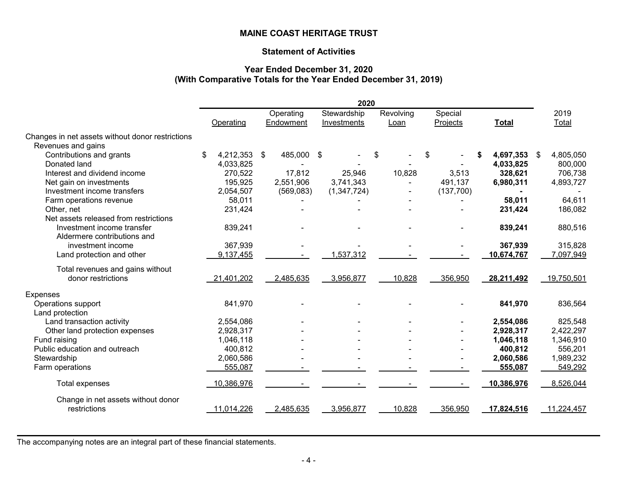# **Statement of Activities**

# **Year Ended December 31, 2020 (With Comparative Totals for the Year Ended December 31, 2019)**

|                                                  |                    |  |                        | 2020                       |                   |                     |              |            |     |               |
|--------------------------------------------------|--------------------|--|------------------------|----------------------------|-------------------|---------------------|--------------|------------|-----|---------------|
|                                                  | Operating          |  | Operating<br>Endowment | Stewardship<br>Investments | Revolving<br>Loan | Special<br>Projects | <b>Total</b> |            |     | 2019<br>Total |
| Changes in net assets without donor restrictions |                    |  |                        |                            |                   |                     |              |            |     |               |
| Revenues and gains                               |                    |  |                        |                            |                   |                     |              |            |     |               |
| Contributions and grants                         | 4,212,353 \$<br>\$ |  | 485,000                | \$                         | \$                | \$                  |              | 4,697,353  | -\$ | 4,805,050     |
| Donated land                                     | 4,033,825          |  |                        |                            |                   |                     |              | 4,033,825  |     | 800,000       |
| Interest and dividend income                     | 270,522            |  | 17,812                 | 25,946                     | 10,828            | 3,513               |              | 328,621    |     | 706,738       |
| Net gain on investments                          | 195,925            |  | 2,551,906              | 3,741,343                  |                   | 491,137             |              | 6,980,311  |     | 4,893,727     |
| Investment income transfers                      | 2,054,507          |  | (569,083)              | (1,347,724)                |                   | (137,700)           |              |            |     |               |
| Farm operations revenue                          | 58,011             |  |                        |                            |                   |                     |              | 58,011     |     | 64,611        |
| Other, net                                       | 231,424            |  |                        |                            |                   |                     |              | 231,424    |     | 186,082       |
| Net assets released from restrictions            |                    |  |                        |                            |                   |                     |              |            |     |               |
| Investment income transfer                       | 839,241            |  |                        |                            |                   |                     |              | 839,241    |     | 880,516       |
| Aldermere contributions and                      |                    |  |                        |                            |                   |                     |              |            |     |               |
| investment income                                | 367,939            |  |                        |                            |                   |                     |              | 367,939    |     | 315,828       |
| Land protection and other                        | 9,137,455          |  |                        | 1,537,312                  |                   |                     |              | 10,674,767 |     | 7,097,949     |
| Total revenues and gains without                 |                    |  |                        |                            |                   |                     |              |            |     |               |
| donor restrictions                               | 21,401,202         |  | 2,485,635              | 3,956,877                  | 10,828            | 356,950             |              | 28,211,492 |     | 19,750,501    |
| <b>Expenses</b>                                  |                    |  |                        |                            |                   |                     |              |            |     |               |
| Operations support                               | 841,970            |  |                        |                            |                   |                     |              | 841,970    |     | 836,564       |
| Land protection                                  |                    |  |                        |                            |                   |                     |              |            |     |               |
| Land transaction activity                        | 2,554,086          |  |                        |                            |                   |                     |              | 2,554,086  |     | 825,548       |
| Other land protection expenses                   | 2,928,317          |  |                        |                            |                   |                     |              | 2,928,317  |     | 2,422,297     |
| Fund raising                                     | 1,046,118          |  |                        |                            |                   |                     |              | 1,046,118  |     | 1,346,910     |
| Public education and outreach                    | 400,812            |  |                        |                            |                   |                     |              | 400,812    |     | 556,201       |
| Stewardship                                      | 2,060,586          |  |                        |                            |                   |                     |              | 2,060,586  |     | 1,989,232     |
| Farm operations                                  | 555,087            |  |                        |                            |                   |                     |              | 555,087    |     | 549,292       |
| Total expenses                                   | 10,386,976         |  |                        |                            |                   |                     |              | 10,386,976 |     | 8,526,044     |
| Change in net assets without donor               |                    |  |                        |                            |                   |                     |              |            |     |               |
| restrictions                                     | 11,014,226         |  | 2,485,635              | 3,956,877                  | 10,828            | 356,950             |              | 17,824,516 |     | 11,224,457    |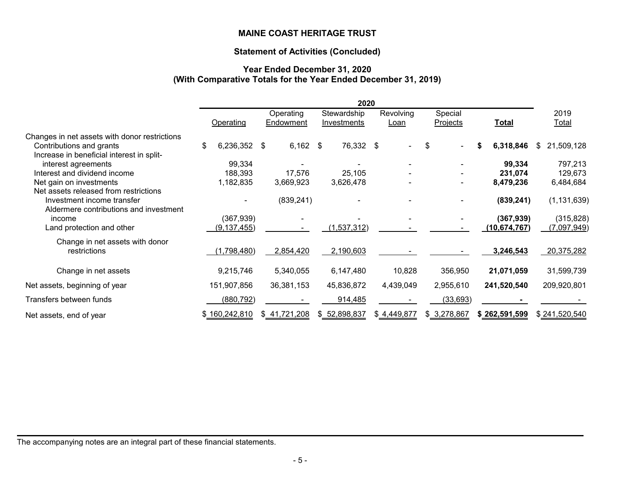#### **Statement of Activities (Concluded)**

# **Year Ended December 31, 2020 (With Comparative Totals for the Year Ended December 31, 2019)**

|                                               |                    |                        | 2020                       |                   |                     |                |                      |
|-----------------------------------------------|--------------------|------------------------|----------------------------|-------------------|---------------------|----------------|----------------------|
|                                               | Operating          | Operating<br>Endowment | Stewardship<br>Investments | Revolving<br>Loan | Special<br>Projects | Total          | 2019<br><b>Total</b> |
| Changes in net assets with donor restrictions |                    |                        |                            |                   |                     |                |                      |
| Contributions and grants                      | \$<br>6,236,352 \$ | 6,162                  | 76,332 \$<br>\$            |                   | \$                  | 6,318,846      | 21,509,128<br>S.     |
| Increase in beneficial interest in split-     |                    |                        |                            |                   |                     |                |                      |
| interest agreements                           | 99,334             |                        |                            |                   |                     | 99,334         | 797,213              |
| Interest and dividend income                  | 188,393            | 17,576                 | 25,105                     |                   |                     | 231,074        | 129,673              |
| Net gain on investments                       | 1,182,835          | 3,669,923              | 3,626,478                  |                   |                     | 8,479,236      | 6,484,684            |
| Net assets released from restrictions         |                    |                        |                            |                   |                     |                |                      |
| Investment income transfer                    |                    | (839, 241)             |                            |                   |                     | (839, 241)     | (1, 131, 639)        |
| Aldermere contributions and investment        |                    |                        |                            |                   |                     |                |                      |
| income                                        | (367, 939)         |                        |                            |                   |                     | (367, 939)     | (315, 828)           |
| Land protection and other                     | (9, 137, 455)      |                        | (1,537,312)                |                   |                     | (10, 674, 767) | (7,097,949)          |
| Change in net assets with donor               |                    |                        |                            |                   |                     |                |                      |
| restrictions                                  | (1,798,480)        | 2,854,420              | 2,190,603                  |                   |                     | 3,246,543      | 20,375,282           |
| Change in net assets                          | 9,215,746          | 5,340,055              | 6,147,480                  | 10,828            | 356,950             | 21,071,059     | 31,599,739           |
| Net assets, beginning of year                 | 151,907,856        | 36,381,153             | 45,836,872                 | 4,439,049         | 2,955,610           | 241,520,540    | 209,920,801          |
| Transfers between funds                       | (880, 792)         |                        | 914,485                    |                   | (33, 693)           |                |                      |
| Net assets, end of year                       | \$160,242,810      | \$41,721,208           | \$ 52,898,837              | \$4,449,877       | \$ 3,278,867        | \$262,591,599  | \$241,520,540        |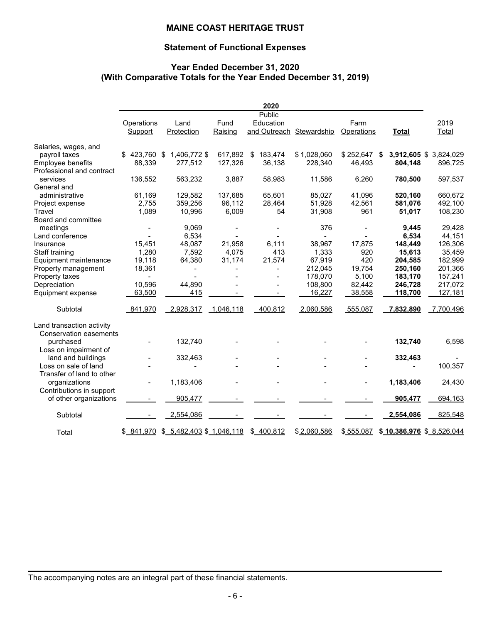# **Statement of Functional Expenses**

# **Year Ended December 31, 2020 (With Comparative Totals for the Year Ended December 31, 2019)**

|                                       |                       |                             |                 | 2020                                |             |                    |                          |                        |
|---------------------------------------|-----------------------|-----------------------------|-----------------|-------------------------------------|-------------|--------------------|--------------------------|------------------------|
|                                       | Operations<br>Support | Land<br>Protection          | Fund<br>Raising | Public<br>Education<br>and Outreach | Stewardship | Farm<br>Operations | <b>Total</b>             | 2019<br>Total          |
| Salaries, wages, and                  |                       |                             |                 |                                     |             |                    |                          |                        |
| payroll taxes                         | $$423,760$ \$         | 1,406,772 \$                | 617,892 \$      | 183,474                             | \$1,028,060 | $$252,647$ \$      |                          | 3,912,605 \$ 3,824,029 |
| Employee benefits                     | 88,339                | 277,512                     | 127,326         | 36,138                              | 228,340     | 46,493             | 804,148                  | 896,725                |
| Professional and contract<br>services |                       |                             |                 |                                     |             |                    |                          |                        |
| General and                           | 136,552               | 563,232                     | 3,887           | 58,983                              | 11,586      | 6,260              | 780,500                  | 597,537                |
| administrative                        | 61,169                | 129,582                     | 137,685         | 65,601                              | 85,027      | 41,096             | 520,160                  | 660,672                |
| Project expense                       | 2,755                 | 359,256                     | 96,112          | 28,464                              | 51,928      | 42,561             | 581,076                  | 492,100                |
| Travel                                | 1,089                 | 10,996                      | 6,009           | 54                                  | 31,908      | 961                | 51,017                   | 108,230                |
| Board and committee                   |                       |                             |                 |                                     |             |                    |                          |                        |
| meetings                              |                       | 9,069                       |                 |                                     | 376         |                    | 9,445                    | 29,428                 |
| Land conference                       |                       | 6,534                       |                 |                                     |             |                    | 6,534                    | 44,151                 |
| Insurance                             | 15,451                | 48,087                      | 21,958          | 6,111                               | 38,967      | 17,875             | 148,449                  | 126,306                |
| Staff training                        | 1,280                 | 7,592                       | 4,075           | 413                                 | 1,333       | 920                | 15,613                   | 35,459                 |
| Equipment maintenance                 | 19,118                | 64,380                      | 31,174          | 21,574                              | 67,919      | 420                | 204,585                  | 182,999                |
| Property management                   | 18,361                |                             |                 |                                     | 212,045     | 19,754             | 250,160                  | 201,366                |
| Property taxes                        |                       |                             |                 |                                     | 178,070     | 5,100              | 183,170                  | 157,241                |
| Depreciation                          | 10,596                | 44,890                      |                 |                                     | 108,800     | 82,442             | 246,728                  | 217,072                |
| Equipment expense                     | 63,500                | 415                         |                 | $\overline{\phantom{0}}$            | 16,227      | 38,558             | 118,700                  | 127,181                |
| Subtotal                              | 841,970               | 2,928,317                   | 1,046,118       | 400,812                             | 2,060,586   | 555,087            | 7,832,890                | 7,700,496              |
| Land transaction activity             |                       |                             |                 |                                     |             |                    |                          |                        |
| <b>Conservation easements</b>         |                       |                             |                 |                                     |             |                    |                          |                        |
| purchased<br>Loss on impairment of    |                       | 132,740                     |                 |                                     |             |                    | 132,740                  | 6,598                  |
| land and buildings                    |                       | 332,463                     |                 |                                     |             |                    | 332,463                  |                        |
| Loss on sale of land                  |                       |                             |                 |                                     |             |                    |                          | 100,357                |
| Transfer of land to other             |                       |                             |                 |                                     |             |                    |                          |                        |
| organizations                         | $\blacksquare$        | 1,183,406                   |                 |                                     |             |                    | 1,183,406                | 24,430                 |
| Contributions in support              |                       |                             |                 |                                     |             |                    |                          |                        |
| of other organizations                |                       | 905,477                     |                 |                                     |             |                    | 905,477                  | 694,163                |
| Subtotal                              |                       | 2,554,086                   |                 |                                     |             |                    | 2,554,086                | 825,548                |
| Total                                 | \$ 841,970            | $$ 5,482,403$ $$ 1,046,118$ |                 | \$400,812                           | \$2,060,586 | \$555,087          | \$10,386,976 \$8,526,044 |                        |
|                                       |                       |                             |                 |                                     |             |                    |                          |                        |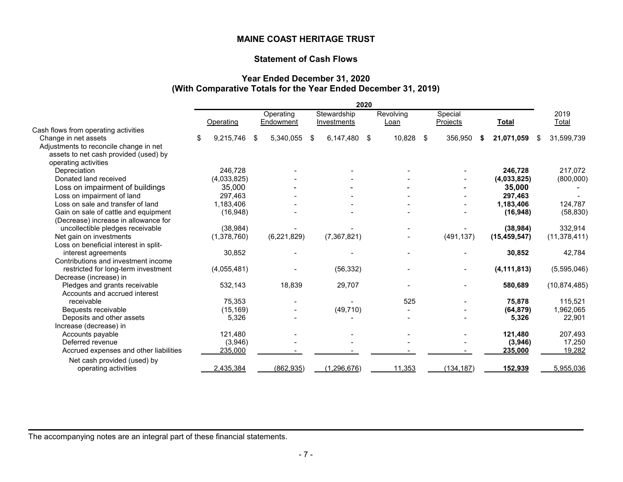# **Statement of Cash Flows**

#### **Year Ended December 31, 2020 (With Comparative Totals for the Year Ended December 31, 2019)**

|                                        | 2020 |             |    |               |    |               |    |           |    |            |     |                |                  |
|----------------------------------------|------|-------------|----|---------------|----|---------------|----|-----------|----|------------|-----|----------------|------------------|
|                                        |      |             |    | Operating     |    | Stewardship   |    | Revolving |    | Special    |     |                | 2019             |
|                                        |      | Operating   |    | Endowment     |    | Investments   |    | Loan      |    | Projects   |     | <b>Total</b>   | Total            |
| Cash flows from operating activities   |      |             |    |               |    |               |    |           |    |            |     |                |                  |
| Change in net assets                   | \$   | 9,215,746   | \$ | 5,340,055     | \$ | 6,147,480     | \$ | 10,828    | \$ | 356,950    | -\$ | 21,071,059     | \$<br>31,599,739 |
| Adjustments to reconcile change in net |      |             |    |               |    |               |    |           |    |            |     |                |                  |
| assets to net cash provided (used) by  |      |             |    |               |    |               |    |           |    |            |     |                |                  |
| operating activities                   |      |             |    |               |    |               |    |           |    |            |     |                |                  |
| Depreciation                           |      | 246.728     |    |               |    |               |    |           |    |            |     | 246,728        | 217,072          |
| Donated land received                  |      | (4,033,825) |    |               |    |               |    |           |    |            |     | (4,033,825)    | (800,000)        |
| Loss on impairment of buildings        |      | 35,000      |    |               |    |               |    |           |    |            |     | 35,000         |                  |
| Loss on impairment of land             |      | 297,463     |    |               |    |               |    |           |    |            |     | 297,463        |                  |
| Loss on sale and transfer of land      |      | 1,183,406   |    |               |    |               |    |           |    |            |     | 1,183,406      | 124,787          |
| Gain on sale of cattle and equipment   |      | (16, 948)   |    |               |    |               |    |           |    |            |     | (16, 948)      | (58, 830)        |
| (Decrease) increase in allowance for   |      |             |    |               |    |               |    |           |    |            |     |                |                  |
| uncollectible pledges receivable       |      | (38, 984)   |    |               |    |               |    |           |    |            |     | (38, 984)      | 332,914          |
| Net gain on investments                |      | (1,378,760) |    | (6, 221, 829) |    | (7, 367, 821) |    |           |    | (491, 137) |     | (15, 459, 547) | (11, 378, 411)   |
| Loss on beneficial interest in split-  |      |             |    |               |    |               |    |           |    |            |     |                |                  |
| interest agreements                    |      | 30,852      |    |               |    |               |    |           |    |            |     | 30,852         | 42,784           |
| Contributions and investment income    |      |             |    |               |    |               |    |           |    |            |     |                |                  |
| restricted for long-term investment    |      | (4,055,481) |    |               |    | (56, 332)     |    |           |    |            |     | (4, 111, 813)  | (5,595,046)      |
| Decrease (increase) in                 |      |             |    |               |    |               |    |           |    |            |     |                |                  |
| Pledges and grants receivable          |      | 532,143     |    | 18,839        |    | 29,707        |    |           |    |            |     | 580,689        | (10, 874, 485)   |
| Accounts and accrued interest          |      |             |    |               |    |               |    |           |    |            |     |                |                  |
| receivable                             |      | 75,353      |    |               |    |               |    | 525       |    |            |     | 75,878         | 115,521          |
| Bequests receivable                    |      | (15, 169)   |    |               |    | (49, 710)     |    |           |    |            |     | (64, 879)      | 1,962,065        |
| Deposits and other assets              |      | 5,326       |    |               |    |               |    |           |    |            |     | 5,326          | 22,901           |
| Increase (decrease) in                 |      |             |    |               |    |               |    |           |    |            |     |                |                  |
| Accounts payable                       |      | 121,480     |    |               |    |               |    |           |    |            |     | 121,480        | 207,493          |
| Deferred revenue                       |      | (3,946)     |    |               |    |               |    |           |    |            |     | (3,946)        | 17,250           |
| Accrued expenses and other liabilities |      | 235,000     |    |               |    |               |    |           |    |            |     | 235,000        | 19,282           |
| Net cash provided (used) by            |      |             |    |               |    |               |    |           |    |            |     |                |                  |
| operating activities                   |      | 2,435,384   |    | (862, 935)    |    | (1, 296, 676) |    | 11,353    |    | (134, 187) |     | 152,939        | 5,955,036        |
|                                        |      |             |    |               |    |               |    |           |    |            |     |                |                  |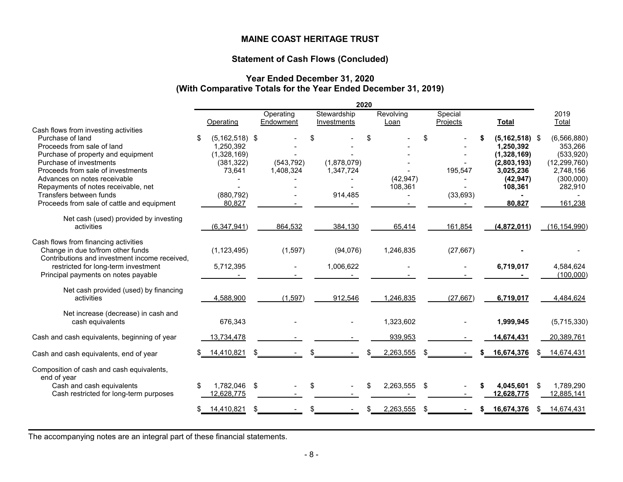# **Statement of Cash Flows (Concluded)**

#### **Year Ended December 31, 2020 (With Comparative Totals for the Year Ended December 31, 2019)**

|                                                                                                                                                                                      |                                                                              |    |                         |    |                          | 2020 |           |     |           |                                                                                               |     |                                                                                   |
|--------------------------------------------------------------------------------------------------------------------------------------------------------------------------------------|------------------------------------------------------------------------------|----|-------------------------|----|--------------------------|------|-----------|-----|-----------|-----------------------------------------------------------------------------------------------|-----|-----------------------------------------------------------------------------------|
|                                                                                                                                                                                      |                                                                              |    | Operating               |    | Stewardship              |      | Revolving |     | Special   |                                                                                               |     | 2019                                                                              |
| Cash flows from investing activities                                                                                                                                                 | Operating                                                                    |    | Endowment               |    | Investments              |      | Loan      |     | Projects  | <b>Total</b>                                                                                  |     | Total                                                                             |
| Purchase of land<br>Proceeds from sale of land<br>Purchase of property and equipment<br>Purchase of investments<br>Proceeds from sale of investments<br>Advances on notes receivable | \$<br>$(5, 162, 518)$ \$<br>1,250,392<br>(1,328,169)<br>(381, 322)<br>73,641 |    | (543, 792)<br>1,408,324 | ደ  | (1,878,079)<br>1,347,724 | \$   | (42, 947) | \$  | 195,547   | \$<br>$(5, 162, 518)$ \$<br>1,250,392<br>(1,328,169)<br>(2,803,193)<br>3,025,236<br>(42, 947) |     | (6, 566, 880)<br>353,266<br>(533,920)<br>(12, 299, 760)<br>2,748,156<br>(300,000) |
| Repayments of notes receivable, net<br>Transfers between funds<br>Proceeds from sale of cattle and equipment                                                                         | (880, 792)<br>80,827                                                         |    |                         |    | 914,485                  |      | 108,361   |     | (33, 693) | 108,361<br>80,827                                                                             |     | 282,910<br>161,238                                                                |
| Net cash (used) provided by investing<br>activities                                                                                                                                  | (6, 347, 941)                                                                |    | 864,532                 |    | 384,130                  |      | 65,414    |     | 161,854   | (4,872,011)                                                                                   |     | (16, 154, 990)                                                                    |
| Cash flows from financing activities<br>Change in due to/from other funds<br>Contributions and investment income received,                                                           | (1, 123, 495)                                                                |    | (1,597)                 |    | (94,076)                 |      | 1,246,835 |     | (27, 667) |                                                                                               |     |                                                                                   |
| restricted for long-term investment<br>Principal payments on notes payable                                                                                                           | 5,712,395                                                                    |    |                         |    | 1,006,622                |      |           |     |           | 6,719,017                                                                                     |     | 4,584,624<br>(100,000)                                                            |
| Net cash provided (used) by financing<br>activities                                                                                                                                  | 4,588,900                                                                    |    | (1, 597)                |    | 912,546                  |      | 1,246,835 |     | (27, 667) | 6,719,017                                                                                     |     | 4,484,624                                                                         |
| Net increase (decrease) in cash and<br>cash equivalents                                                                                                                              | 676,343                                                                      |    |                         |    |                          |      | 1,323,602 |     |           | 1,999,945                                                                                     |     | (5,715,330)                                                                       |
| Cash and cash equivalents, beginning of year                                                                                                                                         | 13,734,478                                                                   |    |                         |    |                          |      | 939,953   |     |           | 14,674,431                                                                                    |     | 20,389,761                                                                        |
| Cash and cash equivalents, end of year                                                                                                                                               | 14,410,821                                                                   | \$ |                         |    |                          |      | 2,263,555 | S   |           | 16,674,376                                                                                    |     | 14,674,431                                                                        |
| Composition of cash and cash equivalents,<br>end of year<br>Cash and cash equivalents                                                                                                | \$<br>1,782,046 \$                                                           |    |                         | \$ |                          | \$   | 2,263,555 | \$  |           | 4,045,601                                                                                     | \$  | 1,789,290                                                                         |
| Cash restricted for long-term purposes                                                                                                                                               | 12,628,775                                                                   |    |                         |    |                          |      |           |     |           | 12,628,775                                                                                    |     | 12,885,141                                                                        |
|                                                                                                                                                                                      | \$<br>14,410,821                                                             | £. |                         |    |                          |      | 2,263,555 | \$. |           | 16,674,376                                                                                    | SS. | 14,674,431                                                                        |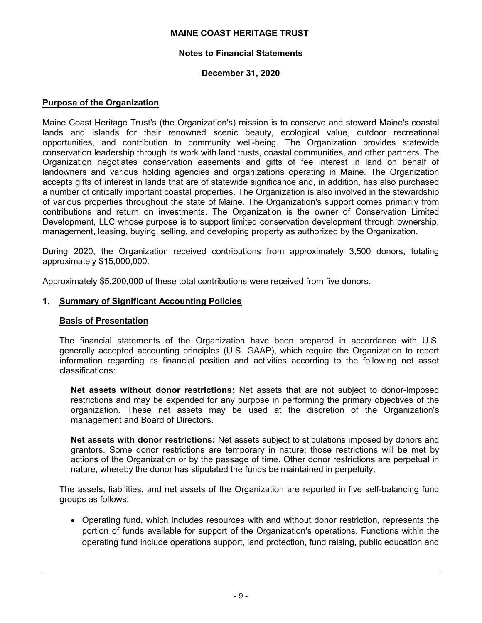### **Notes to Financial Statements**

# **December 31, 2020**

#### **Purpose of the Organization**

Maine Coast Heritage Trust's (the Organization's) mission is to conserve and steward Maine's coastal lands and islands for their renowned scenic beauty, ecological value, outdoor recreational opportunities, and contribution to community well-being. The Organization provides statewide conservation leadership through its work with land trusts, coastal communities, and other partners. The Organization negotiates conservation easements and gifts of fee interest in land on behalf of landowners and various holding agencies and organizations operating in Maine. The Organization accepts gifts of interest in lands that are of statewide significance and, in addition, has also purchased a number of critically important coastal properties. The Organization is also involved in the stewardship of various properties throughout the state of Maine. The Organization's support comes primarily from contributions and return on investments. The Organization is the owner of Conservation Limited Development, LLC whose purpose is to support limited conservation development through ownership, management, leasing, buying, selling, and developing property as authorized by the Organization.

During 2020, the Organization received contributions from approximately 3,500 donors, totaling approximately \$15,000,000.

Approximately \$5,200,000 of these total contributions were received from five donors.

#### **1. Summary of Significant Accounting Policies**

#### **Basis of Presentation**

The financial statements of the Organization have been prepared in accordance with U.S. generally accepted accounting principles (U.S. GAAP), which require the Organization to report information regarding its financial position and activities according to the following net asset classifications:

**Net assets without donor restrictions:** Net assets that are not subject to donor-imposed restrictions and may be expended for any purpose in performing the primary objectives of the organization. These net assets may be used at the discretion of the Organization's management and Board of Directors.

**Net assets with donor restrictions:** Net assets subject to stipulations imposed by donors and grantors. Some donor restrictions are temporary in nature; those restrictions will be met by actions of the Organization or by the passage of time. Other donor restrictions are perpetual in nature, whereby the donor has stipulated the funds be maintained in perpetuity.

The assets, liabilities, and net assets of the Organization are reported in five self-balancing fund groups as follows:

 Operating fund, which includes resources with and without donor restriction, represents the portion of funds available for support of the Organization's operations. Functions within the operating fund include operations support, land protection, fund raising, public education and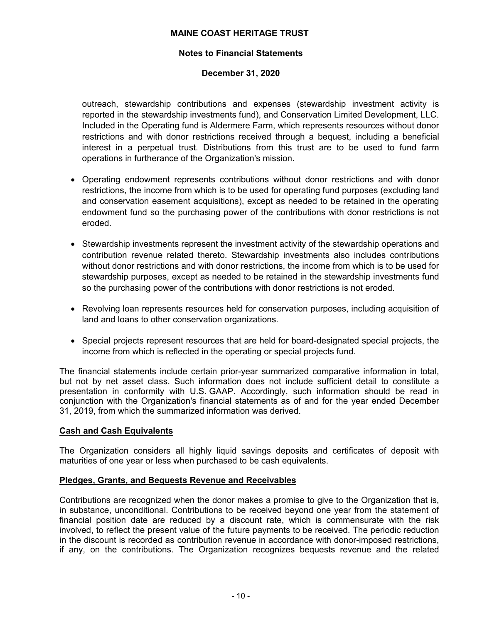# **Notes to Financial Statements**

# **December 31, 2020**

outreach, stewardship contributions and expenses (stewardship investment activity is reported in the stewardship investments fund), and Conservation Limited Development, LLC. Included in the Operating fund is Aldermere Farm, which represents resources without donor restrictions and with donor restrictions received through a bequest, including a beneficial interest in a perpetual trust. Distributions from this trust are to be used to fund farm operations in furtherance of the Organization's mission.

- Operating endowment represents contributions without donor restrictions and with donor restrictions, the income from which is to be used for operating fund purposes (excluding land and conservation easement acquisitions), except as needed to be retained in the operating endowment fund so the purchasing power of the contributions with donor restrictions is not eroded.
- Stewardship investments represent the investment activity of the stewardship operations and contribution revenue related thereto. Stewardship investments also includes contributions without donor restrictions and with donor restrictions, the income from which is to be used for stewardship purposes, except as needed to be retained in the stewardship investments fund so the purchasing power of the contributions with donor restrictions is not eroded.
- Revolving loan represents resources held for conservation purposes, including acquisition of land and loans to other conservation organizations.
- Special projects represent resources that are held for board-designated special projects, the income from which is reflected in the operating or special projects fund.

The financial statements include certain prior-year summarized comparative information in total, but not by net asset class. Such information does not include sufficient detail to constitute a presentation in conformity with U.S. GAAP. Accordingly, such information should be read in conjunction with the Organization's financial statements as of and for the year ended December 31, 2019, from which the summarized information was derived.

# **Cash and Cash Equivalents**

The Organization considers all highly liquid savings deposits and certificates of deposit with maturities of one year or less when purchased to be cash equivalents.

# **Pledges, Grants, and Bequests Revenue and Receivables**

Contributions are recognized when the donor makes a promise to give to the Organization that is, in substance, unconditional. Contributions to be received beyond one year from the statement of financial position date are reduced by a discount rate, which is commensurate with the risk involved, to reflect the present value of the future payments to be received. The periodic reduction in the discount is recorded as contribution revenue in accordance with donor-imposed restrictions, if any, on the contributions. The Organization recognizes bequests revenue and the related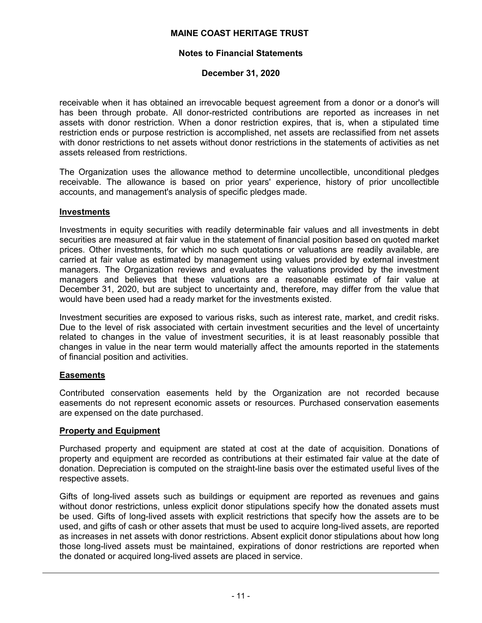# **Notes to Financial Statements**

# **December 31, 2020**

receivable when it has obtained an irrevocable bequest agreement from a donor or a donor's will has been through probate. All donor-restricted contributions are reported as increases in net assets with donor restriction. When a donor restriction expires, that is, when a stipulated time restriction ends or purpose restriction is accomplished, net assets are reclassified from net assets with donor restrictions to net assets without donor restrictions in the statements of activities as net assets released from restrictions.

The Organization uses the allowance method to determine uncollectible, unconditional pledges receivable. The allowance is based on prior years' experience, history of prior uncollectible accounts, and management's analysis of specific pledges made.

# **Investments**

Investments in equity securities with readily determinable fair values and all investments in debt securities are measured at fair value in the statement of financial position based on quoted market prices. Other investments, for which no such quotations or valuations are readily available, are carried at fair value as estimated by management using values provided by external investment managers. The Organization reviews and evaluates the valuations provided by the investment managers and believes that these valuations are a reasonable estimate of fair value at December 31, 2020, but are subject to uncertainty and, therefore, may differ from the value that would have been used had a ready market for the investments existed.

Investment securities are exposed to various risks, such as interest rate, market, and credit risks. Due to the level of risk associated with certain investment securities and the level of uncertainty related to changes in the value of investment securities, it is at least reasonably possible that changes in value in the near term would materially affect the amounts reported in the statements of financial position and activities.

# **Easements**

Contributed conservation easements held by the Organization are not recorded because easements do not represent economic assets or resources. Purchased conservation easements are expensed on the date purchased.

# **Property and Equipment**

Purchased property and equipment are stated at cost at the date of acquisition. Donations of property and equipment are recorded as contributions at their estimated fair value at the date of donation. Depreciation is computed on the straight-line basis over the estimated useful lives of the respective assets.

Gifts of long-lived assets such as buildings or equipment are reported as revenues and gains without donor restrictions, unless explicit donor stipulations specify how the donated assets must be used. Gifts of long-lived assets with explicit restrictions that specify how the assets are to be used, and gifts of cash or other assets that must be used to acquire long-lived assets, are reported as increases in net assets with donor restrictions. Absent explicit donor stipulations about how long those long-lived assets must be maintained, expirations of donor restrictions are reported when the donated or acquired long-lived assets are placed in service.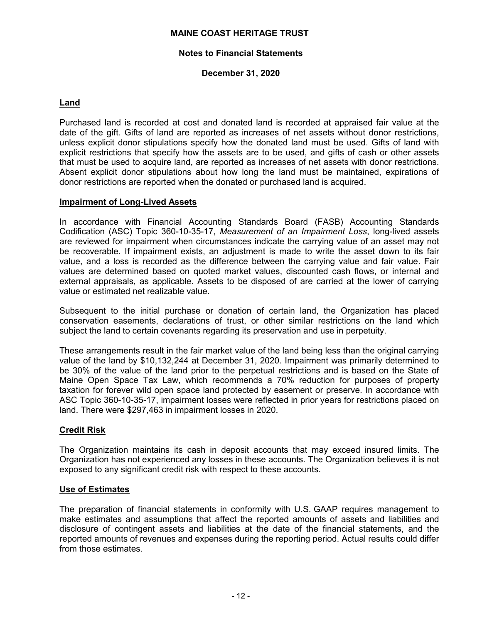### **Notes to Financial Statements**

# **December 31, 2020**

# **Land**

Purchased land is recorded at cost and donated land is recorded at appraised fair value at the date of the gift. Gifts of land are reported as increases of net assets without donor restrictions, unless explicit donor stipulations specify how the donated land must be used. Gifts of land with explicit restrictions that specify how the assets are to be used, and gifts of cash or other assets that must be used to acquire land, are reported as increases of net assets with donor restrictions. Absent explicit donor stipulations about how long the land must be maintained, expirations of donor restrictions are reported when the donated or purchased land is acquired.

#### **Impairment of Long-Lived Assets**

In accordance with Financial Accounting Standards Board (FASB) Accounting Standards Codification (ASC) Topic 360-10-35-17, *Measurement of an Impairment Loss*, long-lived assets are reviewed for impairment when circumstances indicate the carrying value of an asset may not be recoverable. If impairment exists, an adjustment is made to write the asset down to its fair value, and a loss is recorded as the difference between the carrying value and fair value. Fair values are determined based on quoted market values, discounted cash flows, or internal and external appraisals, as applicable. Assets to be disposed of are carried at the lower of carrying value or estimated net realizable value.

Subsequent to the initial purchase or donation of certain land, the Organization has placed conservation easements, declarations of trust, or other similar restrictions on the land which subject the land to certain covenants regarding its preservation and use in perpetuity.

These arrangements result in the fair market value of the land being less than the original carrying value of the land by \$10,132,244 at December 31, 2020. Impairment was primarily determined to be 30% of the value of the land prior to the perpetual restrictions and is based on the State of Maine Open Space Tax Law, which recommends a 70% reduction for purposes of property taxation for forever wild open space land protected by easement or preserve. In accordance with ASC Topic 360-10-35-17, impairment losses were reflected in prior years for restrictions placed on land. There were \$297,463 in impairment losses in 2020.

# **Credit Risk**

The Organization maintains its cash in deposit accounts that may exceed insured limits. The Organization has not experienced any losses in these accounts. The Organization believes it is not exposed to any significant credit risk with respect to these accounts.

# **Use of Estimates**

The preparation of financial statements in conformity with U.S. GAAP requires management to make estimates and assumptions that affect the reported amounts of assets and liabilities and disclosure of contingent assets and liabilities at the date of the financial statements, and the reported amounts of revenues and expenses during the reporting period. Actual results could differ from those estimates.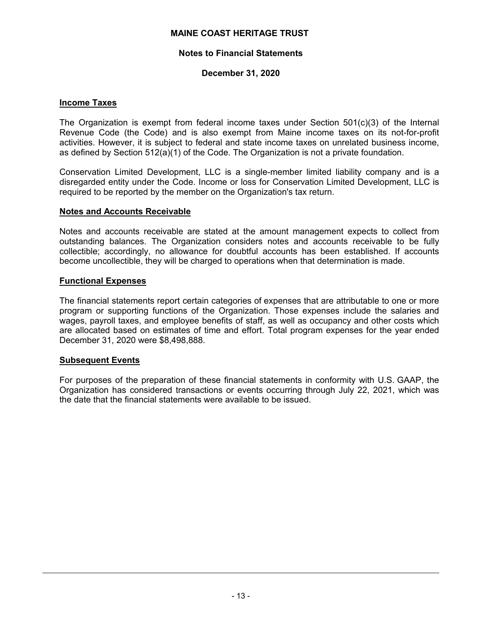### **Notes to Financial Statements**

# **December 31, 2020**

#### **Income Taxes**

The Organization is exempt from federal income taxes under Section  $501(c)(3)$  of the Internal Revenue Code (the Code) and is also exempt from Maine income taxes on its not-for-profit activities. However, it is subject to federal and state income taxes on unrelated business income, as defined by Section 512(a)(1) of the Code. The Organization is not a private foundation.

Conservation Limited Development, LLC is a single-member limited liability company and is a disregarded entity under the Code. Income or loss for Conservation Limited Development, LLC is required to be reported by the member on the Organization's tax return.

#### **Notes and Accounts Receivable**

Notes and accounts receivable are stated at the amount management expects to collect from outstanding balances. The Organization considers notes and accounts receivable to be fully collectible; accordingly, no allowance for doubtful accounts has been established. If accounts become uncollectible, they will be charged to operations when that determination is made.

#### **Functional Expenses**

The financial statements report certain categories of expenses that are attributable to one or more program or supporting functions of the Organization. Those expenses include the salaries and wages, payroll taxes, and employee benefits of staff, as well as occupancy and other costs which are allocated based on estimates of time and effort. Total program expenses for the year ended December 31, 2020 were \$8,498,888.

#### **Subsequent Events**

For purposes of the preparation of these financial statements in conformity with U.S. GAAP, the Organization has considered transactions or events occurring through July 22, 2021, which was the date that the financial statements were available to be issued.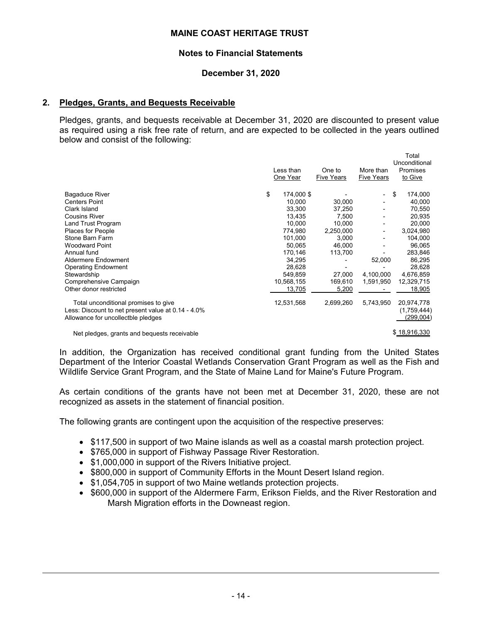#### **Notes to Financial Statements**

### **December 31, 2020**

### **2. Pledges, Grants, and Bequests Receivable**

Pledges, grants, and bequests receivable at December 31, 2020 are discounted to present value as required using a risk free rate of return, and are expected to be collected in the years outlined below and consist of the following:

|                  |                                                   |                          | Total         |
|------------------|---------------------------------------------------|--------------------------|---------------|
|                  |                                                   |                          | Unconditional |
|                  | One to                                            | More than                | Promises      |
|                  | <b>Five Years</b>                                 | <b>Five Years</b>        | to Give       |
|                  |                                                   |                          |               |
| \$<br>174,000 \$ |                                                   | $\overline{\phantom{0}}$ | \$<br>174,000 |
| 10.000           | 30.000                                            |                          | 40,000        |
| 33,300           | 37,250                                            |                          | 70,550        |
| 13.435           | 7.500                                             |                          | 20.935        |
| 10.000           | 10.000                                            |                          | 20,000        |
| 774,980          | 2,250,000                                         | -                        | 3,024,980     |
| 101,000          | 3,000                                             |                          | 104,000       |
| 50.065           | 46.000                                            |                          | 96,065        |
| 170,146          | 113,700                                           |                          | 283,846       |
| 34,295           |                                                   | 52,000                   | 86,295        |
| 28.628           |                                                   |                          | 28,628        |
| 549,859          | 27,000                                            | 4,100,000                | 4,676,859     |
|                  | 169,610                                           | 1,591,950                | 12,329,715    |
| 13,705           | 5,200                                             |                          | 18,905        |
|                  |                                                   |                          | 20,974,778    |
|                  |                                                   |                          | (1,759,444)   |
|                  |                                                   |                          | (299,004)     |
|                  |                                                   |                          |               |
|                  | Less than<br>One Year<br>10,568,155<br>12,531,568 | 2,699,260                | 5,743,950     |

Net pledges, grants and bequests receivable  $$18,916,330$ 

In addition, the Organization has received conditional grant funding from the United States Department of the Interior Coastal Wetlands Conservation Grant Program as well as the Fish and Wildlife Service Grant Program, and the State of Maine Land for Maine's Future Program.

As certain conditions of the grants have not been met at December 31, 2020, these are not recognized as assets in the statement of financial position.

The following grants are contingent upon the acquisition of the respective preserves:

- \$117,500 in support of two Maine islands as well as a coastal marsh protection project.
- \$765,000 in support of Fishway Passage River Restoration.
- \$1,000,000 in support of the Rivers Initiative project.
- \$800,000 in support of Community Efforts in the Mount Desert Island region.
- \$1,054,705 in support of two Maine wetlands protection projects.
- \$600,000 in support of the Aldermere Farm, Erikson Fields, and the River Restoration and Marsh Migration efforts in the Downeast region.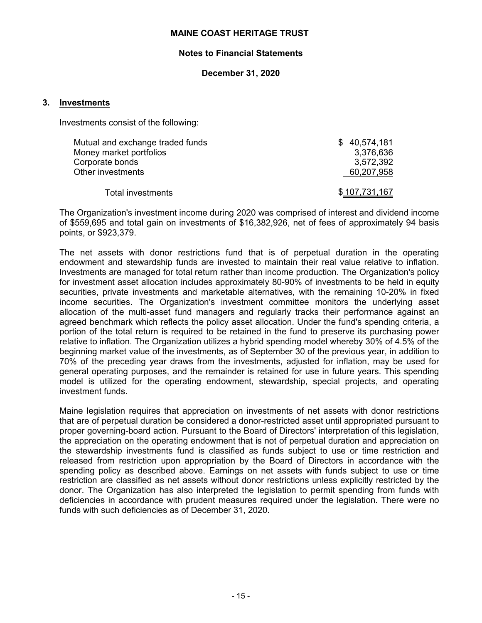#### **Notes to Financial Statements**

# **December 31, 2020**

#### **3. Investments**

Investments consist of the following:

| Mutual and exchange traded funds | \$40,574,181  |
|----------------------------------|---------------|
| Money market portfolios          | 3,376,636     |
| Corporate bonds                  | 3,572,392     |
| Other investments                | 60,207,958    |
| Total investments                | \$107,731,167 |

The Organization's investment income during 2020 was comprised of interest and dividend income of \$559,695 and total gain on investments of \$16,382,926, net of fees of approximately 94 basis points, or \$923,379.

The net assets with donor restrictions fund that is of perpetual duration in the operating endowment and stewardship funds are invested to maintain their real value relative to inflation. Investments are managed for total return rather than income production. The Organization's policy for investment asset allocation includes approximately 80-90% of investments to be held in equity securities, private investments and marketable alternatives, with the remaining 10-20% in fixed income securities. The Organization's investment committee monitors the underlying asset allocation of the multi-asset fund managers and regularly tracks their performance against an agreed benchmark which reflects the policy asset allocation. Under the fund's spending criteria, a portion of the total return is required to be retained in the fund to preserve its purchasing power relative to inflation. The Organization utilizes a hybrid spending model whereby 30% of 4.5% of the beginning market value of the investments, as of September 30 of the previous year, in addition to 70% of the preceding year draws from the investments, adjusted for inflation, may be used for general operating purposes, and the remainder is retained for use in future years. This spending model is utilized for the operating endowment, stewardship, special projects, and operating investment funds.

Maine legislation requires that appreciation on investments of net assets with donor restrictions that are of perpetual duration be considered a donor-restricted asset until appropriated pursuant to proper governing-board action. Pursuant to the Board of Directors' interpretation of this legislation, the appreciation on the operating endowment that is not of perpetual duration and appreciation on the stewardship investments fund is classified as funds subject to use or time restriction and released from restriction upon appropriation by the Board of Directors in accordance with the spending policy as described above. Earnings on net assets with funds subject to use or time restriction are classified as net assets without donor restrictions unless explicitly restricted by the donor. The Organization has also interpreted the legislation to permit spending from funds with deficiencies in accordance with prudent measures required under the legislation. There were no funds with such deficiencies as of December 31, 2020.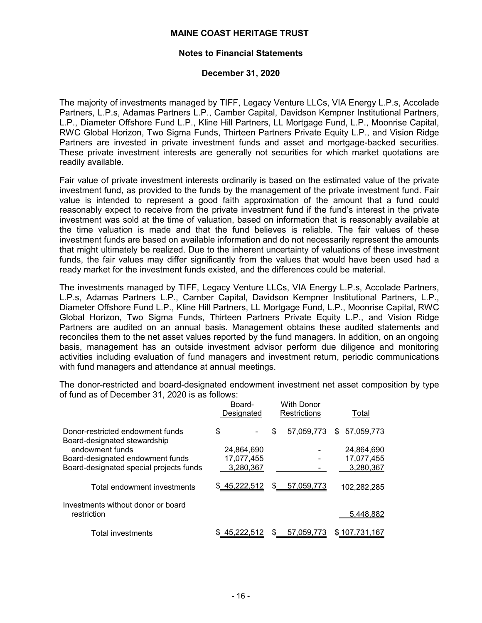#### **Notes to Financial Statements**

#### **December 31, 2020**

The majority of investments managed by TIFF, Legacy Venture LLCs, VIA Energy L.P.s, Accolade Partners, L.P.s, Adamas Partners L.P., Camber Capital, Davidson Kempner Institutional Partners, L.P., Diameter Offshore Fund L.P., Kline Hill Partners, LL Mortgage Fund, L.P., Moonrise Capital, RWC Global Horizon, Two Sigma Funds, Thirteen Partners Private Equity L.P., and Vision Ridge Partners are invested in private investment funds and asset and mortgage-backed securities. These private investment interests are generally not securities for which market quotations are readily available.

Fair value of private investment interests ordinarily is based on the estimated value of the private investment fund, as provided to the funds by the management of the private investment fund. Fair value is intended to represent a good faith approximation of the amount that a fund could reasonably expect to receive from the private investment fund if the fund's interest in the private investment was sold at the time of valuation, based on information that is reasonably available at the time valuation is made and that the fund believes is reliable. The fair values of these investment funds are based on available information and do not necessarily represent the amounts that might ultimately be realized. Due to the inherent uncertainty of valuations of these investment funds, the fair values may differ significantly from the values that would have been used had a ready market for the investment funds existed, and the differences could be material.

The investments managed by TIFF, Legacy Venture LLCs, VIA Energy L.P.s, Accolade Partners, L.P.s, Adamas Partners L.P., Camber Capital, Davidson Kempner Institutional Partners, L.P., Diameter Offshore Fund L.P., Kline Hill Partners, LL Mortgage Fund, L.P., Moonrise Capital, RWC Global Horizon, Two Sigma Funds, Thirteen Partners Private Equity L.P., and Vision Ridge Partners are audited on an annual basis. Management obtains these audited statements and reconciles them to the net asset values reported by the fund managers. In addition, on an ongoing basis, management has an outside investment advisor perform due diligence and monitoring activities including evaluation of fund managers and investment return, periodic communications with fund managers and attendance at annual meetings.

The donor-restricted and board-designated endowment investment net asset composition by type of fund as of December 31, 2020 is as follows:

|                                                                  | Board-<br>Designated | <b>With Donor</b><br><b>Restrictions</b> | Total             |
|------------------------------------------------------------------|----------------------|------------------------------------------|-------------------|
| Donor-restricted endowment funds<br>Board-designated stewardship | \$                   | 57.059.773<br>\$                         | 57,059,773<br>\$. |
| endowment funds                                                  | 24,864,690           |                                          | 24,864,690        |
| Board-designated endowment funds                                 | 17.077.455           |                                          | 17,077,455        |
| Board-designated special projects funds                          | 3,280,367            |                                          | 3,280,367         |
| Total endowment investments                                      | \$45,222,512         | S<br>57,059,773                          | 102,282,285       |
| Investments without donor or board                               |                      |                                          |                   |
| restriction                                                      |                      |                                          | 5,448,882         |
| <b>Total investments</b>                                         |                      | \$<br>57.059.773                         | \$107,731,167     |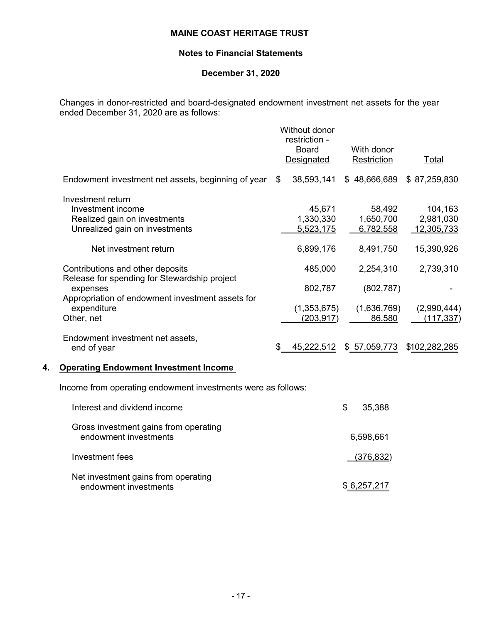# **Notes to Financial Statements**

# **December 31, 2020**

Changes in donor-restricted and board-designated endowment investment net assets for the year ended December 31, 2020 are as follows:

|    |                                                                                                          | Without donor<br>restriction -<br><b>Board</b><br>Designated | With donor<br>Restriction           | Total                              |
|----|----------------------------------------------------------------------------------------------------------|--------------------------------------------------------------|-------------------------------------|------------------------------------|
|    | Endowment investment net assets, beginning of year                                                       | \$<br>38,593,141                                             | \$48,666,689                        | \$87,259,830                       |
|    | Investment return<br>Investment income<br>Realized gain on investments<br>Unrealized gain on investments | 45,671<br>1,330,330<br>5,523,175                             | 58,492<br>1,650,700<br>6,782,558    | 104,163<br>2,981,030<br>12,305,733 |
|    | Net investment return                                                                                    | 6,899,176                                                    | 8,491,750                           | 15,390,926                         |
|    | Contributions and other deposits<br>Release for spending for Stewardship project                         | 485,000                                                      | 2,254,310                           | 2,739,310                          |
|    | expenses<br>Appropriation of endowment investment assets for<br>expenditure<br>Other, net                | 802,787<br>(1,353,675)<br>(203, 917)                         | (802, 787)<br>(1,636,769)<br>86,580 | (2,990,444)<br>(117,337)           |
|    | Endowment investment net assets,<br>end of year                                                          | 45,222,512                                                   | \$57,059,773                        | \$102,282,285                      |
| 4. | <b>Operating Endowment Investment Income</b>                                                             |                                                              |                                     |                                    |
|    | Income from operating endowment investments were as follows:                                             |                                                              |                                     |                                    |
|    | Interest and dividend income                                                                             |                                                              | \$<br>35,388                        |                                    |
|    | Gross investment gains from operating<br>endowment investments                                           |                                                              | 6,598,661                           |                                    |
|    | Investment fees                                                                                          |                                                              | (376, 832)                          |                                    |
|    |                                                                                                          |                                                              |                                     |                                    |

Net investment gains from operating endowment investments  $\frac{1}{2}$  and  $\frac{1}{2}$  and  $\frac{1}{2}$  and  $\frac{1}{2}$  and  $\frac{1}{2}$  and  $\frac{1}{2}$  and  $\frac{1}{2}$  and  $\frac{1}{2}$  and  $\frac{1}{2}$  and  $\frac{1}{2}$  and  $\frac{1}{2}$  and  $\frac{1}{2}$  and  $\frac{1}{2}$  and  $\frac{1}{2}$  and  $\frac{$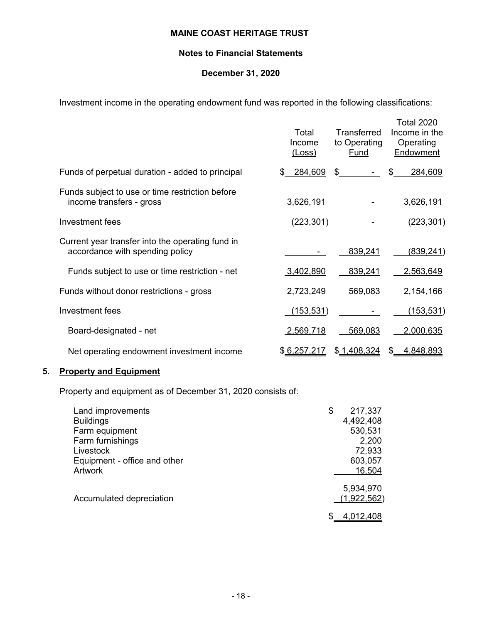# **Notes to Financial Statements**

# **December 31, 2020**

Investment income in the operating endowment fund was reported in the following classifications:

|                                                                                     | Total<br>Income<br><u>(Loss)</u> | <b>Transferred</b><br>to Operating<br>Fund | <b>Total 2020</b><br>Income in the<br>Operating<br>Endowment |
|-------------------------------------------------------------------------------------|----------------------------------|--------------------------------------------|--------------------------------------------------------------|
| Funds of perpetual duration - added to principal                                    | \$ 284,609                       | \$                                         | 284,609<br>\$                                                |
| Funds subject to use or time restriction before<br>income transfers - gross         | 3,626,191                        |                                            | 3,626,191                                                    |
| Investment fees                                                                     | (223, 301)                       |                                            | (223, 301)                                                   |
| Current year transfer into the operating fund in<br>accordance with spending policy |                                  | 839,241                                    | (839, 241)                                                   |
| Funds subject to use or time restriction - net                                      | 3,402,890                        | 839,241                                    | 2,563,649                                                    |
| Funds without donor restrictions - gross                                            | 2,723,249                        | 569,083                                    | 2,154,166                                                    |
| Investment fees                                                                     | (153,531)                        |                                            | (153, 531)                                                   |
| Board-designated - net                                                              | 2,569,718                        | 569,083                                    | 2,000,635                                                    |
| Net operating endowment investment income                                           | \$6,257,217                      | \$1,408,324                                | 4,848,893<br>\$                                              |

# **5. Property and Equipment**

Property and equipment as of December 31, 2020 consists of:

| Land improvements            | \$<br>217,337 |
|------------------------------|---------------|
| <b>Buildings</b>             | 4,492,408     |
| Farm equipment               | 530,531       |
| Farm furnishings             | 2,200         |
| Livestock                    | 72,933        |
| Equipment - office and other | 603,057       |
| <b>Artwork</b>               | 16,504        |
|                              | 5,934,970     |
| Accumulated depreciation     | (1,922,562)   |
|                              |               |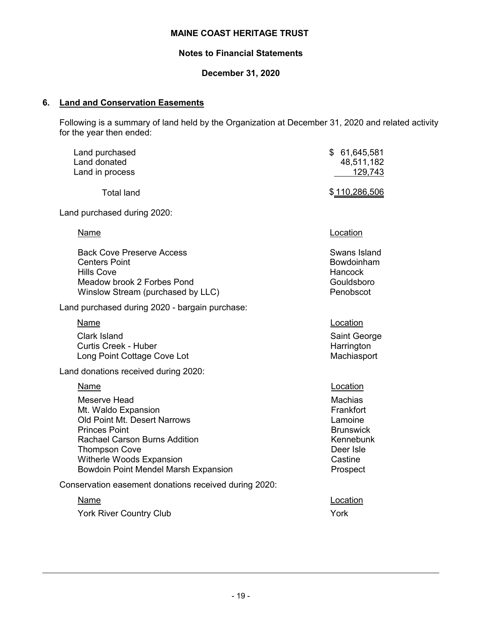# **Notes to Financial Statements**

# **December 31, 2020**

# **6. Land and Conservation Easements**

Following is a summary of land held by the Organization at December 31, 2020 and related activity for the year then ended:

| Land purchased<br>Land donated<br>Land in process                                                                                                                                                                                                     | \$61,645,581<br>48,511,182<br>129,743                                                                                   |
|-------------------------------------------------------------------------------------------------------------------------------------------------------------------------------------------------------------------------------------------------------|-------------------------------------------------------------------------------------------------------------------------|
| <b>Total land</b>                                                                                                                                                                                                                                     | \$110,286,506                                                                                                           |
| Land purchased during 2020:                                                                                                                                                                                                                           |                                                                                                                         |
| Name                                                                                                                                                                                                                                                  | Location                                                                                                                |
| <b>Back Cove Preserve Access</b><br><b>Centers Point</b><br><b>Hills Cove</b><br>Meadow brook 2 Forbes Pond<br>Winslow Stream (purchased by LLC)                                                                                                      | Swans Island<br>Bowdoinham<br>Hancock<br>Gouldsboro<br>Penobscot                                                        |
| Land purchased during 2020 - bargain purchase:                                                                                                                                                                                                        |                                                                                                                         |
| Name<br>Clark Island<br><b>Curtis Creek - Huber</b><br>Long Point Cottage Cove Lot                                                                                                                                                                    | Location<br>Saint George<br>Harrington<br>Machiasport                                                                   |
| Land donations received during 2020:                                                                                                                                                                                                                  |                                                                                                                         |
| <b>Name</b><br>Meserve Head<br>Mt. Waldo Expansion<br>Old Point Mt. Desert Narrows<br><b>Princes Point</b><br><b>Rachael Carson Burns Addition</b><br><b>Thompson Cove</b><br>Witherle Woods Expansion<br><b>Bowdoin Point Mendel Marsh Expansion</b> | Location<br><b>Machias</b><br>Frankfort<br>Lamoine<br><b>Brunswick</b><br>Kennebunk<br>Deer Isle<br>Castine<br>Prospect |
| Conservation easement donations received during 2020:                                                                                                                                                                                                 |                                                                                                                         |
| Name<br><b>York River Country Club</b>                                                                                                                                                                                                                | Location<br>York                                                                                                        |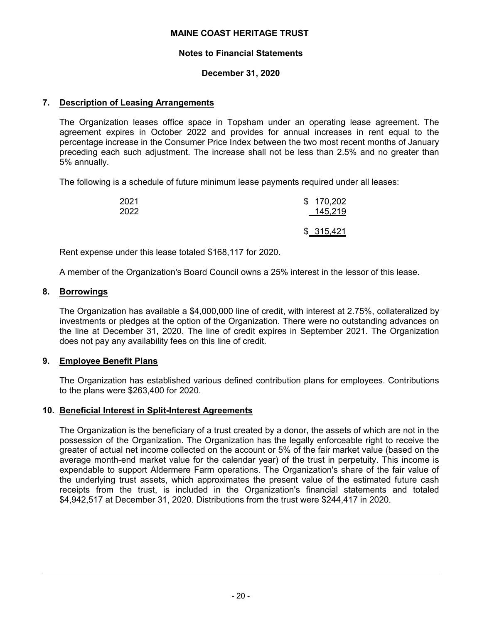### **Notes to Financial Statements**

# **December 31, 2020**

# **7. Description of Leasing Arrangements**

The Organization leases office space in Topsham under an operating lease agreement. The agreement expires in October 2022 and provides for annual increases in rent equal to the percentage increase in the Consumer Price Index between the two most recent months of January preceding each such adjustment. The increase shall not be less than 2.5% and no greater than 5% annually.

The following is a schedule of future minimum lease payments required under all leases:

| 2021 | \$170,202  |
|------|------------|
| 2022 | 145,219    |
|      | \$ 315,421 |

Rent expense under this lease totaled \$168,117 for 2020.

A member of the Organization's Board Council owns a 25% interest in the lessor of this lease.

#### **8. Borrowings**

The Organization has available a \$4,000,000 line of credit, with interest at 2.75%, collateralized by investments or pledges at the option of the Organization. There were no outstanding advances on the line at December 31, 2020. The line of credit expires in September 2021. The Organization does not pay any availability fees on this line of credit.

# **9. Employee Benefit Plans**

The Organization has established various defined contribution plans for employees. Contributions to the plans were \$263,400 for 2020.

#### **10. Beneficial Interest in Split-Interest Agreements**

The Organization is the beneficiary of a trust created by a donor, the assets of which are not in the possession of the Organization. The Organization has the legally enforceable right to receive the greater of actual net income collected on the account or 5% of the fair market value (based on the average month-end market value for the calendar year) of the trust in perpetuity. This income is expendable to support Aldermere Farm operations. The Organization's share of the fair value of the underlying trust assets, which approximates the present value of the estimated future cash receipts from the trust, is included in the Organization's financial statements and totaled \$4,942,517 at December 31, 2020. Distributions from the trust were \$244,417 in 2020.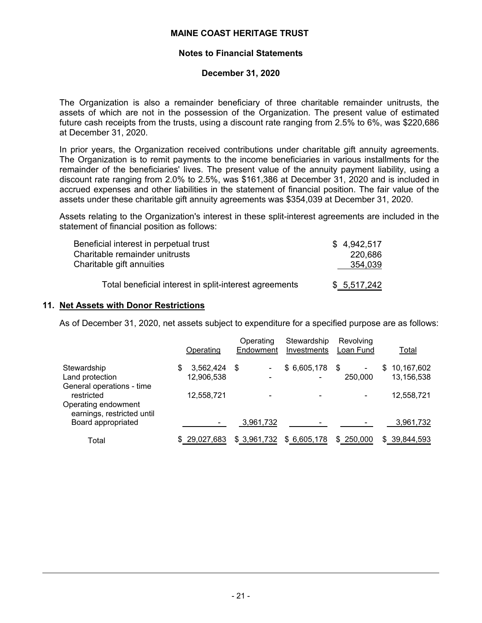#### **Notes to Financial Statements**

#### **December 31, 2020**

The Organization is also a remainder beneficiary of three charitable remainder unitrusts, the assets of which are not in the possession of the Organization. The present value of estimated future cash receipts from the trusts, using a discount rate ranging from 2.5% to 6%, was \$220,686 at December 31, 2020.

In prior years, the Organization received contributions under charitable gift annuity agreements. The Organization is to remit payments to the income beneficiaries in various installments for the remainder of the beneficiaries' lives. The present value of the annuity payment liability, using a discount rate ranging from 2.0% to 2.5%, was \$161,386 at December 31, 2020 and is included in accrued expenses and other liabilities in the statement of financial position. The fair value of the assets under these charitable gift annuity agreements was \$354,039 at December 31, 2020.

Assets relating to the Organization's interest in these split-interest agreements are included in the statement of financial position as follows:

| Beneficial interest in perpetual trust                 | \$4.942.517 |
|--------------------------------------------------------|-------------|
| Charitable remainder unitrusts                         | 220,686     |
| Charitable gift annuities                              | 354,039     |
| Total beneficial interest in split-interest agreements | \$5,517,242 |

#### **11. Net Assets with Donor Restrictions**

As of December 31, 2020, net assets subject to expenditure for a specified purpose are as follows:

|                                                   | Operating       | Operating<br>Endowment | Stewardship<br>Investments | Revolving<br>Loan Fund |   | Total        |
|---------------------------------------------------|-----------------|------------------------|----------------------------|------------------------|---|--------------|
| Stewardship                                       | \$<br>3,562,424 | - \$                   | \$6,605,178                | - \$<br>۰              | S | 10,167,602   |
| Land protection                                   | 12,906,538      |                        |                            | 250,000                |   | 13,156,538   |
| General operations - time<br>restricted           | 12,558,721      |                        |                            |                        |   | 12,558,721   |
| Operating endowment<br>earnings, restricted until |                 |                        |                            |                        |   |              |
| Board appropriated                                |                 | 3,961,732              |                            |                        |   | 3,961,732    |
| Total                                             | \$29,027,683    | \$3,961,732            | \$6,605,178                | \$250,000              |   | \$39,844,593 |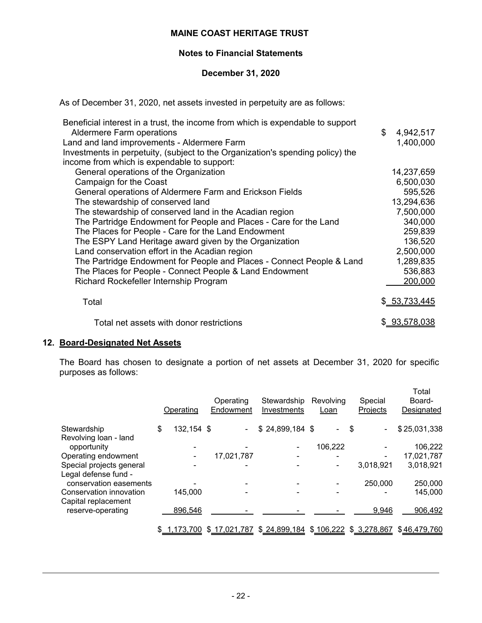### **Notes to Financial Statements**

### **December 31, 2020**

As of December 31, 2020, net assets invested in perpetuity are as follows:

| Beneficial interest in a trust, the income from which is expendable to support |                 |
|--------------------------------------------------------------------------------|-----------------|
| <b>Aldermere Farm operations</b>                                               | \$<br>4,942,517 |
| Land and land improvements - Aldermere Farm                                    | 1,400,000       |
| Investments in perpetuity, (subject to the Organization's spending policy) the |                 |
| income from which is expendable to support:                                    |                 |
| General operations of the Organization                                         | 14,237,659      |
| Campaign for the Coast                                                         | 6,500,030       |
| General operations of Aldermere Farm and Erickson Fields                       | 595,526         |
| The stewardship of conserved land                                              | 13,294,636      |
| The stewardship of conserved land in the Acadian region                        | 7,500,000       |
| The Partridge Endowment for People and Places - Care for the Land              | 340,000         |
| The Places for People - Care for the Land Endowment                            | 259,839         |
| The ESPY Land Heritage award given by the Organization                         | 136,520         |
| Land conservation effort in the Acadian region                                 | 2,500,000       |
| The Partridge Endowment for People and Places - Connect People & Land          | 1,289,835       |
| The Places for People - Connect People & Land Endowment                        | 536,883         |
| Richard Rockefeller Internship Program                                         | 200,000         |
| Total                                                                          | \$ 53,733,445   |
| Total net assets with donor restrictions                                       | \$93,578,038    |

# **12. Board-Designated Net Assets**

The Board has chosen to designate a portion of net assets at December 31, 2020 for specific purposes as follows:

|                                                  | Operating        | Operating<br>Endowment | Stewardship<br>Investments | Revolving<br>Loan |         |     | Special<br>Projects | Total<br>Board-<br>Designated |
|--------------------------------------------------|------------------|------------------------|----------------------------|-------------------|---------|-----|---------------------|-------------------------------|
| Stewardship                                      | \$<br>132,154 \$ |                        | $$24,899,184$ \$           |                   |         | -\$ | $\blacksquare$      | \$25,031,338                  |
| Revolving loan - land<br>opportunity             |                  |                        |                            |                   | 106,222 |     |                     | 106,222                       |
| Operating endowment                              |                  | 17,021,787             |                            |                   |         |     |                     | 17,021,787                    |
| Special projects general<br>Legal defense fund - |                  |                        |                            |                   |         |     | 3,018,921           | 3,018,921                     |
| conservation easements                           |                  |                        |                            |                   |         |     | 250,000             | 250,000                       |
| Conservation innovation<br>Capital replacement   | 145,000          |                        |                            |                   |         |     |                     | 145,000                       |
| reserve-operating                                | 896,546          |                        |                            |                   |         |     | 9,946               | 906,492                       |
|                                                  | 1,173,700        | \$17,021,787           | \$24,899,184               | \$106,222         |         |     | \$3,278,867         | \$46,479,760                  |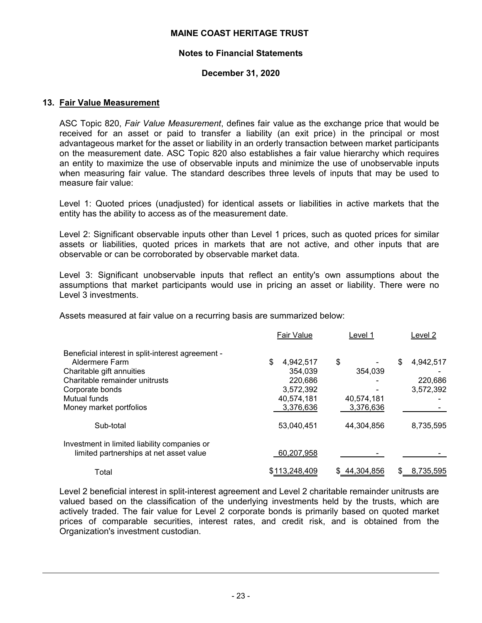#### **Notes to Financial Statements**

# **December 31, 2020**

#### **13. Fair Value Measurement**

ASC Topic 820, *Fair Value Measurement*, defines fair value as the exchange price that would be received for an asset or paid to transfer a liability (an exit price) in the principal or most advantageous market for the asset or liability in an orderly transaction between market participants on the measurement date. ASC Topic 820 also establishes a fair value hierarchy which requires an entity to maximize the use of observable inputs and minimize the use of unobservable inputs when measuring fair value. The standard describes three levels of inputs that may be used to measure fair value:

Level 1: Quoted prices (unadjusted) for identical assets or liabilities in active markets that the entity has the ability to access as of the measurement date.

Level 2: Significant observable inputs other than Level 1 prices, such as quoted prices for similar assets or liabilities, quoted prices in markets that are not active, and other inputs that are observable or can be corroborated by observable market data.

Level 3: Significant unobservable inputs that reflect an entity's own assumptions about the assumptions that market participants would use in pricing an asset or liability. There were no Level 3 investments.

Assets measured at fair value on a recurring basis are summarized below:

|                                                   | <b>Fair Value</b> | Level 1      | Level 2         |
|---------------------------------------------------|-------------------|--------------|-----------------|
| Beneficial interest in split-interest agreement - |                   |              |                 |
| Aldermere Farm                                    | \$<br>4.942.517   | \$           | 4,942,517<br>\$ |
| Charitable gift annuities                         | 354,039           | 354.039      |                 |
| Charitable remainder unitrusts                    | 220,686           |              | 220,686         |
| Corporate bonds                                   | 3,572,392         |              | 3,572,392       |
| Mutual funds                                      | 40,574,181        | 40,574,181   |                 |
| Money market portfolios                           | 3,376,636         | 3,376,636    |                 |
| Sub-total                                         | 53,040,451        | 44.304.856   | 8,735,595       |
| Investment in limited liability companies or      |                   |              |                 |
| limited partnerships at net asset value           | 60,207,958        |              |                 |
| Total                                             | \$113,248,409     | \$44,304,856 | 8,735,595       |

Level 2 beneficial interest in split-interest agreement and Level 2 charitable remainder unitrusts are valued based on the classification of the underlying investments held by the trusts, which are actively traded. The fair value for Level 2 corporate bonds is primarily based on quoted market prices of comparable securities, interest rates, and credit risk, and is obtained from the Organization's investment custodian.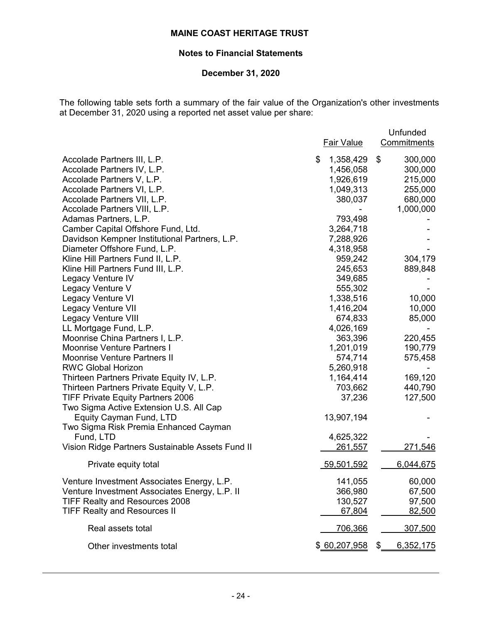# **Notes to Financial Statements**

# **December 31, 2020**

The following table sets forth a summary of the fair value of the Organization's other investments at December 31, 2020 using a reported net asset value per share:

|                                                  | <b>Fair Value</b> | Unfunded<br>Commitments |
|--------------------------------------------------|-------------------|-------------------------|
| Accolade Partners III, L.P.                      | \$<br>1,358,429   | \$<br>300,000           |
| Accolade Partners IV, L.P.                       | 1,456,058         | 300,000                 |
| Accolade Partners V, L.P.                        | 1,926,619         | 215,000                 |
| Accolade Partners VI, L.P.                       | 1,049,313         | 255,000                 |
| Accolade Partners VII, L.P.                      | 380,037           | 680,000                 |
| Accolade Partners VIII, L.P.                     |                   | 1,000,000               |
| Adamas Partners, L.P.                            | 793,498           |                         |
| Camber Capital Offshore Fund, Ltd.               | 3,264,718         |                         |
| Davidson Kempner Institutional Partners, L.P.    | 7,288,926         |                         |
| Diameter Offshore Fund, L.P.                     | 4,318,958         |                         |
| Kline Hill Partners Fund II, L.P.                | 959,242           | 304,179                 |
| Kline Hill Partners Fund III, L.P.               | 245,653           | 889,848                 |
| Legacy Venture IV                                | 349,685           |                         |
| Legacy Venture V                                 | 555,302           |                         |
| Legacy Venture VI                                | 1,338,516         | 10,000                  |
| <b>Legacy Venture VII</b>                        | 1,416,204         | 10,000                  |
| <b>Legacy Venture VIII</b>                       | 674,833           | 85,000                  |
| LL Mortgage Fund, L.P.                           | 4,026,169         |                         |
| Moonrise China Partners I, L.P.                  | 363,396           | 220,455                 |
| <b>Moonrise Venture Partners I</b>               | 1,201,019         | 190,779                 |
| <b>Moonrise Venture Partners II</b>              | 574,714           | 575,458                 |
| <b>RWC Global Horizon</b>                        | 5,260,918         |                         |
| Thirteen Partners Private Equity IV, L.P.        | 1,164,414         | 169,120                 |
| Thirteen Partners Private Equity V, L.P.         | 703,662           | 440,790                 |
| <b>TIFF Private Equity Partners 2006</b>         | 37,236            | 127,500                 |
| Two Sigma Active Extension U.S. All Cap          |                   |                         |
| Equity Cayman Fund, LTD                          | 13,907,194        |                         |
| Two Sigma Risk Premia Enhanced Cayman            |                   |                         |
| Fund, LTD                                        | 4,625,322         |                         |
| Vision Ridge Partners Sustainable Assets Fund II | 261,557           | 271,546                 |
| Private equity total                             | 59,501,592        | 6,044,675               |
| Venture Investment Associates Energy, L.P.       | 141,055           | 60,000                  |
| Venture Investment Associates Energy, L.P. II    | 366,980           | 67,500                  |
| <b>TIFF Realty and Resources 2008</b>            | 130,527           | 97,500                  |
| <b>TIFF Realty and Resources II</b>              | 67,804            | 82,500                  |
| Real assets total                                | 706,366           | 307,500                 |
| Other investments total                          | \$60,207,958      | 6,352,175<br>\$         |
|                                                  |                   |                         |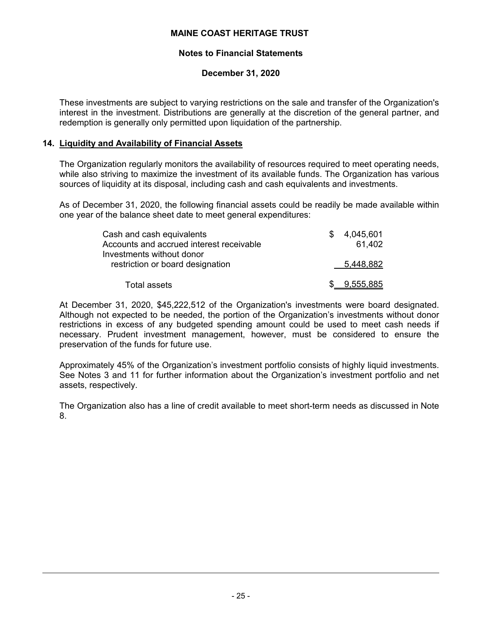# **Notes to Financial Statements**

# **December 31, 2020**

These investments are subject to varying restrictions on the sale and transfer of the Organization's interest in the investment. Distributions are generally at the discretion of the general partner, and redemption is generally only permitted upon liquidation of the partnership.

# **14. Liquidity and Availability of Financial Assets**

The Organization regularly monitors the availability of resources required to meet operating needs, while also striving to maximize the investment of its available funds. The Organization has various sources of liquidity at its disposal, including cash and cash equivalents and investments.

As of December 31, 2020, the following financial assets could be readily be made available within one year of the balance sheet date to meet general expenditures:

| Cash and cash equivalents                | \$. | 4,045,601   |
|------------------------------------------|-----|-------------|
| Accounts and accrued interest receivable |     | 61.402      |
| Investments without donor                |     |             |
| restriction or board designation         |     | 5,448,882   |
|                                          |     |             |
| Total assets                             |     | \$9,555,885 |

At December 31, 2020, \$45,222,512 of the Organization's investments were board designated. Although not expected to be needed, the portion of the Organization's investments without donor restrictions in excess of any budgeted spending amount could be used to meet cash needs if necessary. Prudent investment management, however, must be considered to ensure the preservation of the funds for future use.

Approximately 45% of the Organization's investment portfolio consists of highly liquid investments. See Notes 3 and 11 for further information about the Organization's investment portfolio and net assets, respectively.

The Organization also has a line of credit available to meet short-term needs as discussed in Note 8.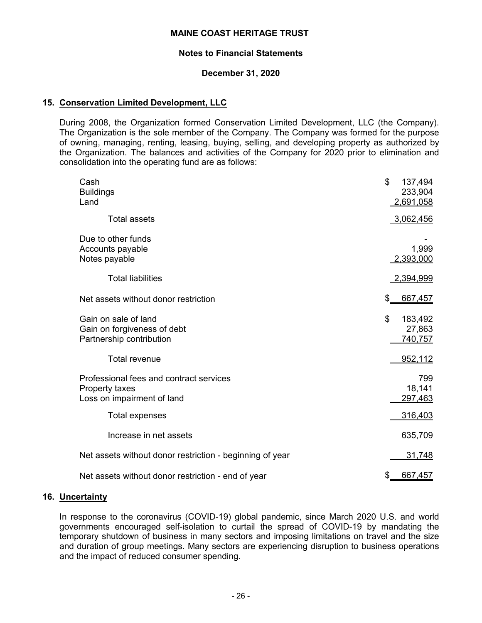#### **Notes to Financial Statements**

### **December 31, 2020**

### **15. Conservation Limited Development, LLC**

During 2008, the Organization formed Conservation Limited Development, LLC (the Company). The Organization is the sole member of the Company. The Company was formed for the purpose of owning, managing, renting, leasing, buying, selling, and developing property as authorized by the Organization. The balances and activities of the Company for 2020 prior to elimination and consolidation into the operating fund are as follows:

| Cash<br><b>Buildings</b><br>Land                                                                        | \$<br>137,494<br>233,904<br>2,691,058         |
|---------------------------------------------------------------------------------------------------------|-----------------------------------------------|
| <b>Total assets</b>                                                                                     | 3,062,456                                     |
| Due to other funds<br>Accounts payable<br>Notes payable                                                 | 1,999<br>2,393,000                            |
| <b>Total liabilities</b>                                                                                | 2,394,999                                     |
| Net assets without donor restriction                                                                    | \$<br>667,457                                 |
| Gain on sale of land<br>Gain on forgiveness of debt<br>Partnership contribution<br><b>Total revenue</b> | \$<br>183,492<br>27,863<br>740,757<br>952,112 |
| Professional fees and contract services<br>Property taxes<br>Loss on impairment of land                 | 799<br>18,141<br>297,463                      |
| Total expenses                                                                                          | 316,403                                       |
| Increase in net assets                                                                                  | 635,709                                       |
| Net assets without donor restriction - beginning of year                                                | 31,748                                        |
| Net assets without donor restriction - end of year                                                      | \$<br>667,457                                 |

#### **16. Uncertainty**

In response to the coronavirus (COVID-19) global pandemic, since March 2020 U.S. and world governments encouraged self-isolation to curtail the spread of COVID-19 by mandating the temporary shutdown of business in many sectors and imposing limitations on travel and the size and duration of group meetings. Many sectors are experiencing disruption to business operations and the impact of reduced consumer spending.